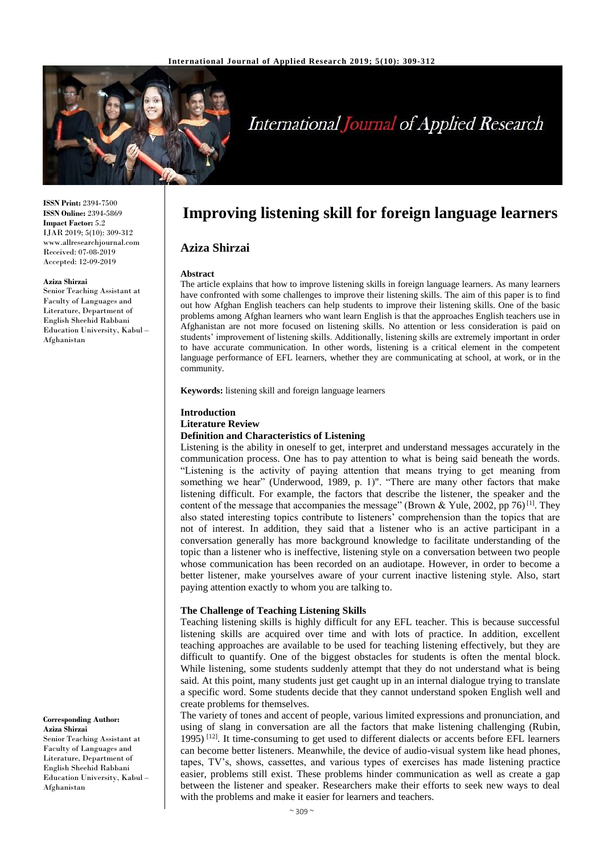

# **International Journal of Applied Research**

**ISSN Print:** 2394-7500 **ISSN Online:** 2394-5869 **Impact Factor:** 5.2 IJAR 2019; 5(10): 309-312 www.allresearchjournal.com Received: 07-08-2019 Accepted: 12-09-2019

#### **Aziza Shirzai**

Senior Teaching Assistant at Faculty of Languages and Literature, Department of English Sheehid Rabbani Education University, Kabul – Afghanistan

#### **Corresponding Author: Aziza Shirzai** Senior Teaching Assistant at Faculty of Languages and Literature, Department of English Sheehid Rabbani

Education University, Kabul – Afghanistan

# **Improving listening skill for foreign language learners**

### **Aziza Shirzai**

#### **Abstract**

The article explains that how to improve listening skills in foreign language learners. As many learners have confronted with some challenges to improve their listening skills. The aim of this paper is to find out how Afghan English teachers can help students to improve their listening skills. One of the basic problems among Afghan learners who want learn English is that the approaches English teachers use in Afghanistan are not more focused on listening skills. No attention or less consideration is paid on students' improvement of listening skills. Additionally, listening skills are extremely important in order to have accurate communication. In other words, listening is a critical element in the competent language performance of EFL learners, whether they are communicating at school, at work, or in the community.

**Keywords:** listening skill and foreign language learners

# **Introduction Literature Review**

# **Definition and Characteristics of Listening**

Listening is the ability in oneself to get, interpret and understand messages accurately in the communication process. One has to pay attention to what is being said beneath the words. "Listening is the activity of paying attention that means trying to get meaning from something we hear" (Underwood, 1989, p. 1)". "There are many other factors that make listening difficult. For example, the factors that describe the listener, the speaker and the content of the message that accompanies the message" (Brown & Yule, 2002, pp 76)<sup>[1]</sup>. They also stated interesting topics contribute to listeners' comprehension than the topics that are not of interest. In addition, they said that a listener who is an active participant in a conversation generally has more background knowledge to facilitate understanding of the topic than a listener who is ineffective, listening style on a conversation between two people whose communication has been recorded on an audiotape. However, in order to become a better listener, make yourselves aware of your current inactive listening style. Also, start paying attention exactly to whom you are talking to.

### **The Challenge of Teaching Listening Skills**

Teaching listening skills is highly difficult for any EFL teacher. This is because successful listening skills are acquired over time and with lots of practice. In addition, excellent teaching approaches are available to be used for teaching listening effectively, but they are difficult to quantify. One of the biggest obstacles for students is often the mental block. While listening, some students suddenly attempt that they do not understand what is being said. At this point, many students just get caught up in an internal dialogue trying to translate a specific word. Some students decide that they cannot understand spoken English well and create problems for themselves.

The variety of tones and accent of people, various limited expressions and pronunciation, and using of slang in conversation are all the factors that make listening challenging (Rubin, 1995)<sup>[12]</sup>. It time-consuming to get used to different dialects or accents before EFL learners can become better listeners. Meanwhile, the device of audio-visual system like head phones, tapes, TV's, shows, cassettes, and various types of exercises has made listening practice easier, problems still exist. These problems hinder communication as well as create a gap between the listener and speaker. Researchers make their efforts to seek new ways to deal with the problems and make it easier for learners and teachers.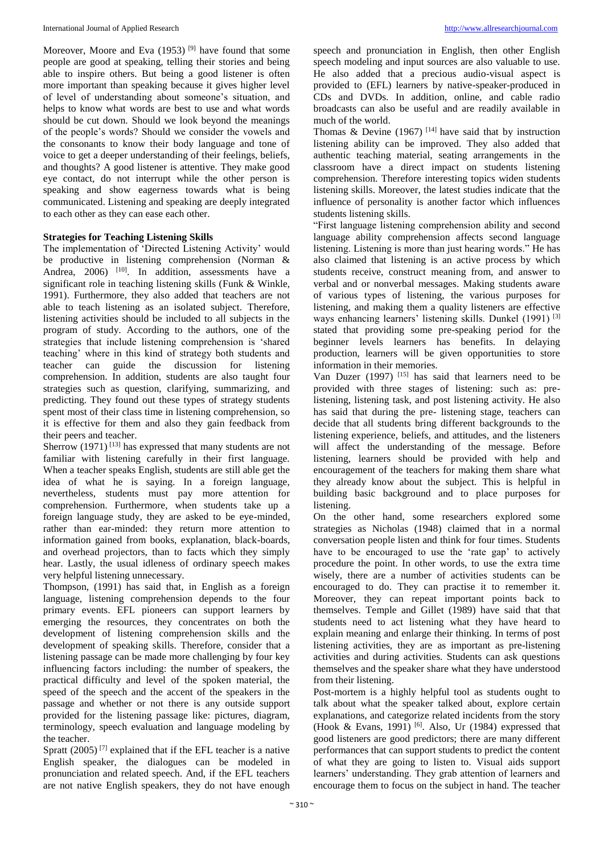Moreover, Moore and Eva  $(1953)$  <sup>[9]</sup> have found that some people are good at speaking, telling their stories and being able to inspire others. But being a good listener is often more important than speaking because it gives higher level of level of understanding about someone's situation, and helps to know what words are best to use and what words should be cut down. Should we look beyond the meanings of the people's words? Should we consider the vowels and the consonants to know their body language and tone of voice to get a deeper understanding of their feelings, beliefs, and thoughts? A good listener is attentive. They make good eye contact, do not interrupt while the other person is speaking and show eagerness towards what is being communicated. Listening and speaking are deeply integrated to each other as they can ease each other.

## **Strategies for Teaching Listening Skills**

The implementation of 'Directed Listening Activity' would be productive in listening comprehension (Norman & Andrea, 2006) <sup>[10]</sup>. In addition, assessments have a significant role in teaching listening skills (Funk & Winkle, 1991). Furthermore, they also added that teachers are not able to teach listening as an isolated subject. Therefore, listening activities should be included to all subjects in the program of study. According to the authors, one of the strategies that include listening comprehension is 'shared teaching' where in this kind of strategy both students and teacher can guide the discussion for listening comprehension. In addition, students are also taught four strategies such as question, clarifying, summarizing, and predicting. They found out these types of strategy students spent most of their class time in listening comprehension, so it is effective for them and also they gain feedback from their peers and teacher.

Sherrow  $(1971)^{[13]}$  has expressed that many students are not familiar with listening carefully in their first language. When a teacher speaks English, students are still able get the idea of what he is saying. In a foreign language, nevertheless, students must pay more attention for comprehension. Furthermore, when students take up a foreign language study, they are asked to be eye-minded, rather than ear-minded: they return more attention to information gained from books, explanation, black-boards, and overhead projectors, than to facts which they simply hear. Lastly, the usual idleness of ordinary speech makes very helpful listening unnecessary.

Thompson, (1991) has said that, in English as a foreign language, listening comprehension depends to the four primary events. EFL pioneers can support learners by emerging the resources, they concentrates on both the development of listening comprehension skills and the development of speaking skills. Therefore, consider that a listening passage can be made more challenging by four key influencing factors including: the number of speakers, the practical difficulty and level of the spoken material, the speed of the speech and the accent of the speakers in the passage and whether or not there is any outside support provided for the listening passage like: pictures, diagram, terminology, speech evaluation and language modeling by the teacher.

Spratt  $(2005)^{7}$  explained that if the EFL teacher is a native English speaker, the dialogues can be modeled in pronunciation and related speech. And, if the EFL teachers are not native English speakers, they do not have enough

speech and pronunciation in English, then other English speech modeling and input sources are also valuable to use. He also added that a precious audio-visual aspect is provided to (EFL) learners by native-speaker-produced in CDs and DVDs. In addition, online, and cable radio broadcasts can also be useful and are readily available in much of the world.

Thomas & Devine (1967)<sup>[14]</sup> have said that by instruction listening ability can be improved. They also added that authentic teaching material, seating arrangements in the classroom have a direct impact on students listening comprehension. Therefore interesting topics widen students listening skills. Moreover, the latest studies indicate that the influence of personality is another factor which influences students listening skills.

"First language listening comprehension ability and second language ability comprehension affects second language listening. Listening is more than just hearing words." He has also claimed that listening is an active process by which students receive, construct meaning from, and answer to verbal and or nonverbal messages. Making students aware of various types of listening, the various purposes for listening, and making them a quality listeners are effective ways enhancing learners' listening skills. Dunkel (1991)<sup>[3]</sup> stated that providing some pre-speaking period for the beginner levels learners has benefits. In delaying production, learners will be given opportunities to store information in their memories.

Van Duzer (1997) [15] has said that learners need to be provided with three stages of listening: such as: prelistening, listening task, and post listening activity. He also has said that during the pre- listening stage, teachers can decide that all students bring different backgrounds to the listening experience, beliefs, and attitudes, and the listeners will affect the understanding of the message. Before listening, learners should be provided with help and encouragement of the teachers for making them share what they already know about the subject. This is helpful in building basic background and to place purposes for listening.

On the other hand, some researchers explored some strategies as Nicholas (1948) claimed that in a normal conversation people listen and think for four times. Students have to be encouraged to use the 'rate gap' to actively procedure the point. In other words, to use the extra time wisely, there are a number of activities students can be encouraged to do. They can practise it to remember it. Moreover, they can repeat important points back to themselves. Temple and Gillet (1989) have said that that students need to act listening what they have heard to explain meaning and enlarge their thinking. In terms of post listening activities, they are as important as pre-listening activities and during activities. Students can ask questions themselves and the speaker share what they have understood from their listening.

Post-mortem is a highly helpful tool as students ought to talk about what the speaker talked about, explore certain explanations, and categorize related incidents from the story (Hook & Evans, 1991)<sup>[6]</sup>. Also, Ur (1984) expressed that good listeners are good predictors; there are many different performances that can support students to predict the content of what they are going to listen to. Visual aids support learners' understanding. They grab attention of learners and encourage them to focus on the subject in hand. The teacher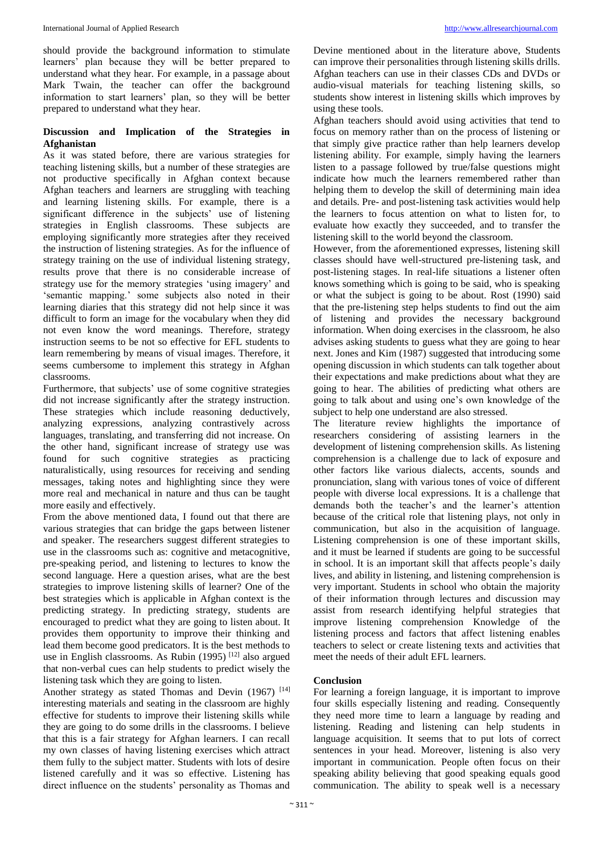should provide the background information to stimulate learners' plan because they will be better prepared to understand what they hear. For example, in a passage about Mark Twain, the teacher can offer the background information to start learners' plan, so they will be better prepared to understand what they hear.

## **Discussion and Implication of the Strategies in Afghanistan**

As it was stated before, there are various strategies for teaching listening skills, but a number of these strategies are not productive specifically in Afghan context because Afghan teachers and learners are struggling with teaching and learning listening skills. For example, there is a significant difference in the subjects' use of listening strategies in English classrooms. These subjects are employing significantly more strategies after they received the instruction of listening strategies. As for the influence of strategy training on the use of individual listening strategy, results prove that there is no considerable increase of strategy use for the memory strategies 'using imagery' and 'semantic mapping.' some subjects also noted in their learning diaries that this strategy did not help since it was difficult to form an image for the vocabulary when they did not even know the word meanings. Therefore, strategy instruction seems to be not so effective for EFL students to learn remembering by means of visual images. Therefore, it seems cumbersome to implement this strategy in Afghan classrooms.

Furthermore, that subjects' use of some cognitive strategies did not increase significantly after the strategy instruction. These strategies which include reasoning deductively, analyzing expressions, analyzing contrastively across languages, translating, and transferring did not increase. On the other hand, significant increase of strategy use was found for such cognitive strategies as practicing naturalistically, using resources for receiving and sending messages, taking notes and highlighting since they were more real and mechanical in nature and thus can be taught more easily and effectively.

From the above mentioned data, I found out that there are various strategies that can bridge the gaps between listener and speaker. The researchers suggest different strategies to use in the classrooms such as: cognitive and metacognitive, pre-speaking period, and listening to lectures to know the second language. Here a question arises, what are the best strategies to improve listening skills of learner? One of the best strategies which is applicable in Afghan context is the predicting strategy. In predicting strategy, students are encouraged to predict what they are going to listen about. It provides them opportunity to improve their thinking and lead them become good predicators. It is the best methods to use in English classrooms. As Rubin (1995)<sup>[12]</sup> also argued that non-verbal cues can help students to predict wisely the listening task which they are going to listen.

Another strategy as stated Thomas and Devin  $(1967)$ <sup>[14]</sup> interesting materials and seating in the classroom are highly effective for students to improve their listening skills while they are going to do some drills in the classrooms. I believe that this is a fair strategy for Afghan learners. I can recall my own classes of having listening exercises which attract them fully to the subject matter. Students with lots of desire listened carefully and it was so effective. Listening has direct influence on the students' personality as Thomas and Devine mentioned about in the literature above, Students can improve their personalities through listening skills drills. Afghan teachers can use in their classes CDs and DVDs or audio-visual materials for teaching listening skills, so students show interest in listening skills which improves by using these tools.

Afghan teachers should avoid using activities that tend to focus on memory rather than on the process of listening or that simply give practice rather than help learners develop listening ability. For example, simply having the learners listen to a passage followed by true/false questions might indicate how much the learners remembered rather than helping them to develop the skill of determining main idea and details. Pre- and post-listening task activities would help the learners to focus attention on what to listen for, to evaluate how exactly they succeeded, and to transfer the listening skill to the world beyond the classroom.

However, from the aforementioned expresses, listening skill classes should have well-structured pre-listening task, and post-listening stages. In real-life situations a listener often knows something which is going to be said, who is speaking or what the subject is going to be about. Rost (1990) said that the pre-listening step helps students to find out the aim of listening and provides the necessary background information. When doing exercises in the classroom, he also advises asking students to guess what they are going to hear next. Jones and Kim (1987) suggested that introducing some opening discussion in which students can talk together about their expectations and make predictions about what they are going to hear. The abilities of predicting what others are going to talk about and using one's own knowledge of the subject to help one understand are also stressed.

The literature review highlights the importance of researchers considering of assisting learners in the development of listening comprehension skills. As listening comprehension is a challenge due to lack of exposure and other factors like various dialects, accents, sounds and pronunciation, slang with various tones of voice of different people with diverse local expressions. It is a challenge that demands both the teacher's and the learner's attention because of the critical role that listening plays, not only in communication, but also in the acquisition of language. Listening comprehension is one of these important skills, and it must be learned if students are going to be successful in school. It is an important skill that affects people's daily lives, and ability in listening, and listening comprehension is very important. Students in school who obtain the majority of their information through lectures and discussion may assist from research identifying helpful strategies that improve listening comprehension Knowledge of the listening process and factors that affect listening enables teachers to select or create listening texts and activities that meet the needs of their adult EFL learners.

### **Conclusion**

For learning a foreign language, it is important to improve four skills especially listening and reading. Consequently they need more time to learn a language by reading and listening. Reading and listening can help students in language acquisition. It seems that to put lots of correct sentences in your head. Moreover, listening is also very important in communication. People often focus on their speaking ability believing that good speaking equals good communication. The ability to speak well is a necessary